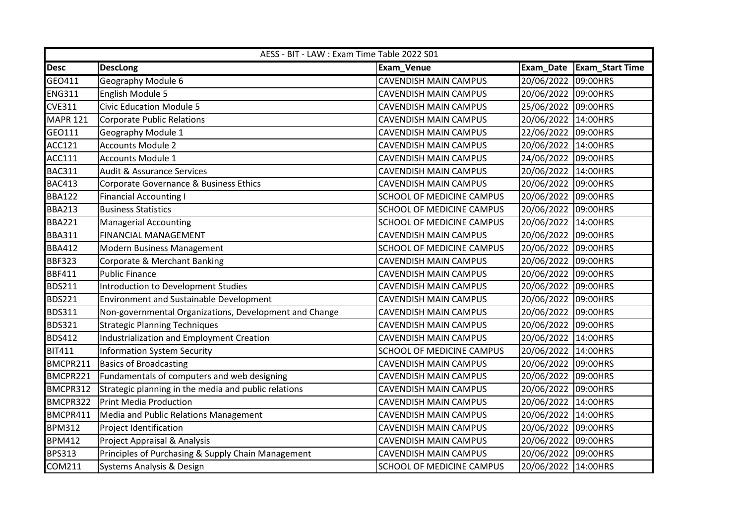|                 | AESS - BIT - LAW : Exam Time Table 2022 S01            |                                  |                     |                        |  |
|-----------------|--------------------------------------------------------|----------------------------------|---------------------|------------------------|--|
| <b>Desc</b>     | <b>DescLong</b>                                        | <b>Exam_Venue</b>                | Exam_Date           | <b>Exam_Start Time</b> |  |
| GEO411          | Geography Module 6                                     | <b>CAVENDISH MAIN CAMPUS</b>     | 20/06/2022          | 09:00HRS               |  |
| <b>ENG311</b>   | English Module 5                                       | <b>CAVENDISH MAIN CAMPUS</b>     | 20/06/2022 09:00HRS |                        |  |
| <b>CVE311</b>   | <b>Civic Education Module 5</b>                        | <b>CAVENDISH MAIN CAMPUS</b>     | 25/06/2022          | 09:00HRS               |  |
| <b>MAPR 121</b> | <b>Corporate Public Relations</b>                      | <b>CAVENDISH MAIN CAMPUS</b>     | 20/06/2022 14:00HRS |                        |  |
| GEO111          | Geography Module 1                                     | CAVENDISH MAIN CAMPUS            | 22/06/2022 09:00HRS |                        |  |
| <b>ACC121</b>   | <b>Accounts Module 2</b>                               | <b>CAVENDISH MAIN CAMPUS</b>     | 20/06/2022 14:00HRS |                        |  |
| <b>ACC111</b>   | <b>Accounts Module 1</b>                               | <b>CAVENDISH MAIN CAMPUS</b>     | 24/06/2022          | 09:00HRS               |  |
| <b>BAC311</b>   | <b>Audit &amp; Assurance Services</b>                  | <b>CAVENDISH MAIN CAMPUS</b>     | 20/06/2022          | 14:00HRS               |  |
| <b>BAC413</b>   | Corporate Governance & Business Ethics                 | CAVENDISH MAIN CAMPUS            | 20/06/2022          | 09:00HRS               |  |
| <b>BBA122</b>   | <b>Financial Accounting I</b>                          | SCHOOL OF MEDICINE CAMPUS        | 20/06/2022          | 09:00HRS               |  |
| <b>BBA213</b>   | <b>Business Statistics</b>                             | SCHOOL OF MEDICINE CAMPUS        | 20/06/2022          | 09:00HRS               |  |
| <b>BBA221</b>   | <b>Managerial Accounting</b>                           | <b>SCHOOL OF MEDICINE CAMPUS</b> | 20/06/2022 14:00HRS |                        |  |
| <b>BBA311</b>   | <b>FINANCIAL MANAGEMENT</b>                            | CAVENDISH MAIN CAMPUS            | 20/06/2022 09:00HRS |                        |  |
| <b>BBA412</b>   | <b>Modern Business Management</b>                      | SCHOOL OF MEDICINE CAMPUS        | 20/06/2022 09:00HRS |                        |  |
| <b>BBF323</b>   | Corporate & Merchant Banking                           | <b>CAVENDISH MAIN CAMPUS</b>     | 20/06/2022          | 09:00HRS               |  |
| <b>BBF411</b>   | <b>Public Finance</b>                                  | <b>CAVENDISH MAIN CAMPUS</b>     | 20/06/2022          | 09:00HRS               |  |
| <b>BDS211</b>   | Introduction to Development Studies                    | CAVENDISH MAIN CAMPUS            | 20/06/2022          | 09:00HRS               |  |
| <b>BDS221</b>   | <b>Environment and Sustainable Development</b>         | <b>CAVENDISH MAIN CAMPUS</b>     | 20/06/2022 09:00HRS |                        |  |
| <b>BDS311</b>   | Non-governmental Organizations, Development and Change | <b>CAVENDISH MAIN CAMPUS</b>     | 20/06/2022          | 09:00HRS               |  |
| <b>BDS321</b>   | <b>Strategic Planning Techniques</b>                   | <b>CAVENDISH MAIN CAMPUS</b>     | 20/06/2022 09:00HRS |                        |  |
| <b>BDS412</b>   | <b>Industrialization and Employment Creation</b>       | CAVENDISH MAIN CAMPUS            | 20/06/2022          | 14:00HRS               |  |
| <b>BIT411</b>   | <b>Information System Security</b>                     | SCHOOL OF MEDICINE CAMPUS        | 20/06/2022          | 14:00HRS               |  |
| BMCPR211        | <b>Basics of Broadcasting</b>                          | <b>CAVENDISH MAIN CAMPUS</b>     | 20/06/2022          | 09:00HRS               |  |
| BMCPR221        | Fundamentals of computers and web designing            | <b>CAVENDISH MAIN CAMPUS</b>     | 20/06/2022          | 09:00HRS               |  |
| BMCPR312        | Strategic planning in the media and public relations   | CAVENDISH MAIN CAMPUS            | 20/06/2022          | 09:00HRS               |  |
| BMCPR322        | <b>Print Media Production</b>                          | <b>CAVENDISH MAIN CAMPUS</b>     | 20/06/2022          | 14:00HRS               |  |
| BMCPR411        | Media and Public Relations Management                  | <b>CAVENDISH MAIN CAMPUS</b>     | 20/06/2022          | 14:00HRS               |  |
| <b>BPM312</b>   | Project Identification                                 | <b>CAVENDISH MAIN CAMPUS</b>     | 20/06/2022 09:00HRS |                        |  |
| <b>BPM412</b>   | Project Appraisal & Analysis                           | CAVENDISH MAIN CAMPUS            | 20/06/2022 09:00HRS |                        |  |
| <b>BPS313</b>   | Principles of Purchasing & Supply Chain Management     | <b>CAVENDISH MAIN CAMPUS</b>     | 20/06/2022          | 09:00HRS               |  |
| <b>COM211</b>   | <b>Systems Analysis &amp; Design</b>                   | <b>SCHOOL OF MEDICINE CAMPUS</b> | 20/06/2022          | 14:00HRS               |  |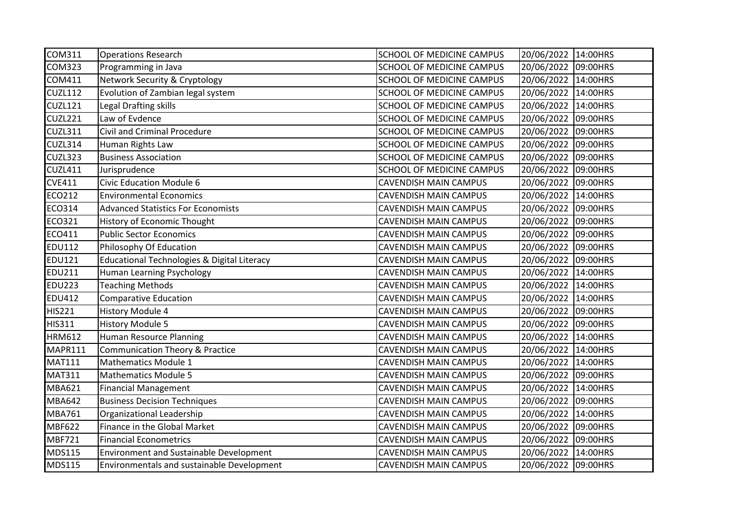| COM311         | <b>Operations Research</b>                        | <b>SCHOOL OF MEDICINE CAMPUS</b> | 20/06/2022 14:00HRS |          |
|----------------|---------------------------------------------------|----------------------------------|---------------------|----------|
| <b>COM323</b>  | Programming in Java                               | SCHOOL OF MEDICINE CAMPUS        | 20/06/2022 09:00HRS |          |
| COM411         | Network Security & Cryptology                     | SCHOOL OF MEDICINE CAMPUS        | 20/06/2022          | 14:00HRS |
| <b>CUZL112</b> | Evolution of Zambian legal system                 | SCHOOL OF MEDICINE CAMPUS        | 20/06/2022          | 14:00HRS |
| <b>CUZL121</b> | Legal Drafting skills                             | SCHOOL OF MEDICINE CAMPUS        | 20/06/2022          | 14:00HRS |
| CUZL221        | Law of Evdence                                    | SCHOOL OF MEDICINE CAMPUS        | 20/06/2022          | 09:00HRS |
| CUZL311        | <b>Civil and Criminal Procedure</b>               | SCHOOL OF MEDICINE CAMPUS        | 20/06/2022 09:00HRS |          |
| CUZL314        | Human Rights Law                                  | SCHOOL OF MEDICINE CAMPUS        | 20/06/2022 09:00HRS |          |
| CUZL323        | <b>Business Association</b>                       | SCHOOL OF MEDICINE CAMPUS        | 20/06/2022          | 09:00HRS |
| <b>CUZL411</b> | Jurisprudence                                     | SCHOOL OF MEDICINE CAMPUS        | 20/06/2022          | 09:00HRS |
| <b>CVE411</b>  | <b>Civic Education Module 6</b>                   | <b>CAVENDISH MAIN CAMPUS</b>     | 20/06/2022          | 09:00HRS |
| <b>ECO212</b>  | <b>Environmental Economics</b>                    | CAVENDISH MAIN CAMPUS            | 20/06/2022          | 14:00HRS |
| ECO314         | <b>Advanced Statistics For Economists</b>         | <b>CAVENDISH MAIN CAMPUS</b>     | 20/06/2022          | 09:00HRS |
| <b>ECO321</b>  | History of Economic Thought                       | <b>CAVENDISH MAIN CAMPUS</b>     | 20/06/2022          | 09:00HRS |
| ECO411         | <b>Public Sector Economics</b>                    | <b>CAVENDISH MAIN CAMPUS</b>     | 20/06/2022 09:00HRS |          |
| <b>EDU112</b>  | Philosophy Of Education                           | <b>CAVENDISH MAIN CAMPUS</b>     | 20/06/2022          | 09:00HRS |
| <b>EDU121</b>  | Educational Technologies & Digital Literacy       | <b>CAVENDISH MAIN CAMPUS</b>     | 20/06/2022 09:00HRS |          |
| <b>EDU211</b>  | Human Learning Psychology                         | <b>CAVENDISH MAIN CAMPUS</b>     | 20/06/2022          | 14:00HRS |
| <b>EDU223</b>  | <b>Teaching Methods</b>                           | <b>CAVENDISH MAIN CAMPUS</b>     | 20/06/2022          | 14:00HRS |
| <b>EDU412</b>  | Comparative Education                             | <b>CAVENDISH MAIN CAMPUS</b>     | 20/06/2022          | 14:00HRS |
| <b>HIS221</b>  | <b>History Module 4</b>                           | <b>CAVENDISH MAIN CAMPUS</b>     | 20/06/2022 09:00HRS |          |
| <b>HIS311</b>  | <b>History Module 5</b>                           | <b>CAVENDISH MAIN CAMPUS</b>     | 20/06/2022 09:00HRS |          |
| <b>HRM612</b>  | Human Resource Planning                           | <b>CAVENDISH MAIN CAMPUS</b>     | 20/06/2022 14:00HRS |          |
| MAPR111        | <b>Communication Theory &amp; Practice</b>        | <b>CAVENDISH MAIN CAMPUS</b>     | 20/06/2022          | 14:00HRS |
| <b>MAT111</b>  | <b>Mathematics Module 1</b>                       | <b>CAVENDISH MAIN CAMPUS</b>     | 20/06/2022          | 14:00HRS |
| <b>MAT311</b>  | <b>Mathematics Module 5</b>                       | <b>CAVENDISH MAIN CAMPUS</b>     | 20/06/2022          | 09:00HRS |
| <b>MBA621</b>  | <b>Financial Management</b>                       | CAVENDISH MAIN CAMPUS            | 20/06/2022          | 14:00HRS |
| <b>MBA642</b>  | <b>Business Decision Techniques</b>               | <b>CAVENDISH MAIN CAMPUS</b>     | 20/06/2022 09:00HRS |          |
| <b>MBA761</b>  | Organizational Leadership                         | <b>CAVENDISH MAIN CAMPUS</b>     | 20/06/2022          | 14:00HRS |
| <b>MBF622</b>  | Finance in the Global Market                      | <b>CAVENDISH MAIN CAMPUS</b>     | 20/06/2022 09:00HRS |          |
| <b>MBF721</b>  | <b>Financial Econometrics</b>                     | <b>CAVENDISH MAIN CAMPUS</b>     | 20/06/2022          | 09:00HRS |
| <b>MDS115</b>  | <b>Environment and Sustainable Development</b>    | CAVENDISH MAIN CAMPUS            | 20/06/2022          | 14:00HRS |
| <b>MDS115</b>  | <b>Environmentals and sustainable Development</b> | <b>CAVENDISH MAIN CAMPUS</b>     | 20/06/2022 09:00HRS |          |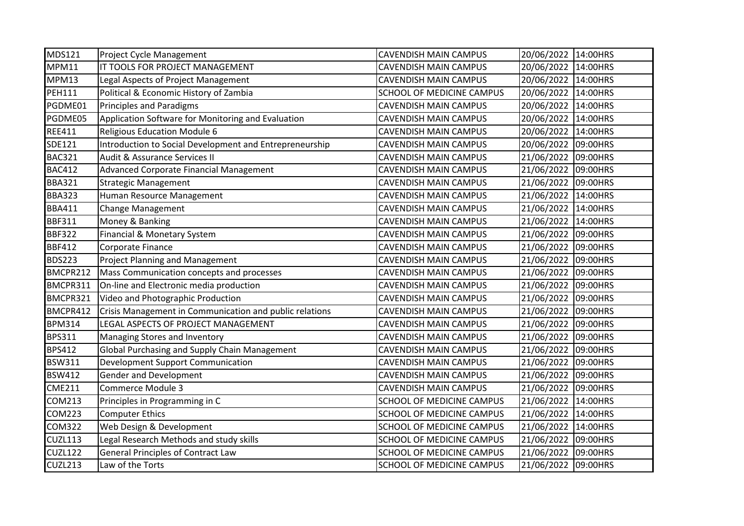| <b>MDS121</b> | Project Cycle Management                                | <b>CAVENDISH MAIN CAMPUS</b>     | 20/06/2022 14:00HRS |          |
|---------------|---------------------------------------------------------|----------------------------------|---------------------|----------|
| MPM11         | IT TOOLS FOR PROJECT MANAGEMENT                         | <b>CAVENDISH MAIN CAMPUS</b>     | 20/06/2022 14:00HRS |          |
| MPM13         | Legal Aspects of Project Management                     | <b>CAVENDISH MAIN CAMPUS</b>     | 20/06/2022 14:00HRS |          |
| <b>PEH111</b> | Political & Economic History of Zambia                  | SCHOOL OF MEDICINE CAMPUS        | 20/06/2022 14:00HRS |          |
| PGDME01       | <b>Principles and Paradigms</b>                         | <b>CAVENDISH MAIN CAMPUS</b>     | 20/06/2022          | 14:00HRS |
| PGDME05       | Application Software for Monitoring and Evaluation      | <b>CAVENDISH MAIN CAMPUS</b>     | 20/06/2022          | 14:00HRS |
| <b>REE411</b> | <b>Religious Education Module 6</b>                     | <b>CAVENDISH MAIN CAMPUS</b>     | 20/06/2022          | 14:00HRS |
| SDE121        | Introduction to Social Development and Entrepreneurship | <b>CAVENDISH MAIN CAMPUS</b>     | 20/06/2022 09:00HRS |          |
| <b>BAC321</b> | Audit & Assurance Services II                           | <b>CAVENDISH MAIN CAMPUS</b>     | 21/06/2022          | 09:00HRS |
| <b>BAC412</b> | Advanced Corporate Financial Management                 | <b>CAVENDISH MAIN CAMPUS</b>     | 21/06/2022          | 09:00HRS |
| <b>BBA321</b> | <b>Strategic Management</b>                             | <b>CAVENDISH MAIN CAMPUS</b>     | 21/06/2022 09:00HRS |          |
| <b>BBA323</b> | Human Resource Management                               | <b>CAVENDISH MAIN CAMPUS</b>     | 21/06/2022 14:00HRS |          |
| <b>BBA411</b> | Change Management                                       | <b>CAVENDISH MAIN CAMPUS</b>     | 21/06/2022 14:00HRS |          |
| <b>BBF311</b> | Money & Banking                                         | <b>CAVENDISH MAIN CAMPUS</b>     | 21/06/2022          | 14:00HRS |
| <b>BBF322</b> | Financial & Monetary System                             | <b>CAVENDISH MAIN CAMPUS</b>     | 21/06/2022 09:00HRS |          |
| <b>BBF412</b> | Corporate Finance                                       | <b>CAVENDISH MAIN CAMPUS</b>     | 21/06/2022          | 09:00HRS |
| <b>BDS223</b> | <b>Project Planning and Management</b>                  | <b>CAVENDISH MAIN CAMPUS</b>     | 21/06/2022          | 09:00HRS |
| BMCPR212      | Mass Communication concepts and processes               | <b>CAVENDISH MAIN CAMPUS</b>     | 21/06/2022          | 09:00HRS |
| BMCPR311      | On-line and Electronic media production                 | <b>CAVENDISH MAIN CAMPUS</b>     | 21/06/2022          | 09:00HRS |
| BMCPR321      | Video and Photographic Production                       | <b>CAVENDISH MAIN CAMPUS</b>     | 21/06/2022          | 09:00HRS |
| BMCPR412      | Crisis Management in Communication and public relations | <b>CAVENDISH MAIN CAMPUS</b>     | 21/06/2022          | 09:00HRS |
| <b>BPM314</b> | LEGAL ASPECTS OF PROJECT MANAGEMENT                     | <b>CAVENDISH MAIN CAMPUS</b>     | 21/06/2022          | 09:00HRS |
| <b>BPS311</b> | Managing Stores and Inventory                           | <b>CAVENDISH MAIN CAMPUS</b>     | 21/06/2022 09:00HRS |          |
| <b>BPS412</b> | Global Purchasing and Supply Chain Management           | <b>CAVENDISH MAIN CAMPUS</b>     | 21/06/2022 09:00HRS |          |
| <b>BSW311</b> | Development Support Communication                       | <b>CAVENDISH MAIN CAMPUS</b>     | 21/06/2022          | 09:00HRS |
| <b>BSW412</b> | Gender and Development                                  | <b>CAVENDISH MAIN CAMPUS</b>     | 21/06/2022          | 09:00HRS |
| <b>CME211</b> | Commerce Module 3                                       | <b>CAVENDISH MAIN CAMPUS</b>     | 21/06/2022          | 09:00HRS |
| <b>COM213</b> | Principles in Programming in C                          | SCHOOL OF MEDICINE CAMPUS        | 21/06/2022          | 14:00HRS |
| <b>COM223</b> | <b>Computer Ethics</b>                                  | SCHOOL OF MEDICINE CAMPUS        | 21/06/2022          | 14:00HRS |
| <b>COM322</b> | Web Design & Development                                | SCHOOL OF MEDICINE CAMPUS        | 21/06/2022 14:00HRS |          |
| CUZL113       | Legal Research Methods and study skills                 | SCHOOL OF MEDICINE CAMPUS        | 21/06/2022          | 09:00HRS |
| CUZL122       | <b>General Principles of Contract Law</b>               | SCHOOL OF MEDICINE CAMPUS        | 21/06/2022          | 09:00HRS |
| CUZL213       | Law of the Torts                                        | <b>SCHOOL OF MEDICINE CAMPUS</b> | 21/06/2022 09:00HRS |          |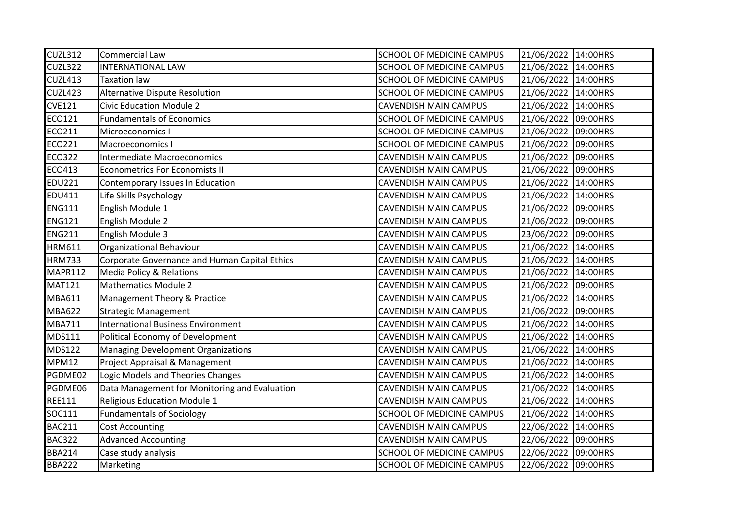| CUZL312        | Commercial Law                                | <b>SCHOOL OF MEDICINE CAMPUS</b> | 21/06/2022 14:00HRS |          |
|----------------|-----------------------------------------------|----------------------------------|---------------------|----------|
| CUZL322        | <b>INTERNATIONAL LAW</b>                      | SCHOOL OF MEDICINE CAMPUS        | 21/06/2022 14:00HRS |          |
| <b>CUZL413</b> | Taxation law                                  | SCHOOL OF MEDICINE CAMPUS        | 21/06/2022 14:00HRS |          |
| CUZL423        | Alternative Dispute Resolution                | SCHOOL OF MEDICINE CAMPUS        | 21/06/2022 14:00HRS |          |
| <b>CVE121</b>  | <b>Civic Education Module 2</b>               | <b>CAVENDISH MAIN CAMPUS</b>     | 21/06/2022          | 14:00HRS |
| ECO121         | <b>Fundamentals of Economics</b>              | SCHOOL OF MEDICINE CAMPUS        | 21/06/2022          | 09:00HRS |
| ECO211         | Microeconomics I                              | SCHOOL OF MEDICINE CAMPUS        | 21/06/2022          | 09:00HRS |
| <b>ECO221</b>  | Macroeconomics I                              | SCHOOL OF MEDICINE CAMPUS        | 21/06/2022 09:00HRS |          |
| <b>ECO322</b>  | <b>Intermediate Macroeconomics</b>            | <b>CAVENDISH MAIN CAMPUS</b>     | 21/06/2022 09:00HRS |          |
| ECO413         | <b>Econometrics For Economists II</b>         | <b>CAVENDISH MAIN CAMPUS</b>     | 21/06/2022 09:00HRS |          |
| <b>EDU221</b>  | Contemporary Issues In Education              | <b>CAVENDISH MAIN CAMPUS</b>     | 21/06/2022 14:00HRS |          |
| <b>EDU411</b>  | Life Skills Psychology                        | <b>CAVENDISH MAIN CAMPUS</b>     | 21/06/2022 14:00HRS |          |
| <b>ENG111</b>  | English Module 1                              | <b>CAVENDISH MAIN CAMPUS</b>     | 21/06/2022 09:00HRS |          |
| <b>ENG121</b>  | English Module 2                              | <b>CAVENDISH MAIN CAMPUS</b>     | 21/06/2022 09:00HRS |          |
| <b>ENG211</b>  | English Module 3                              | <b>CAVENDISH MAIN CAMPUS</b>     | 23/06/2022 09:00HRS |          |
| <b>HRM611</b>  | Organizational Behaviour                      | <b>CAVENDISH MAIN CAMPUS</b>     | 21/06/2022 14:00HRS |          |
| <b>HRM733</b>  | Corporate Governance and Human Capital Ethics | <b>CAVENDISH MAIN CAMPUS</b>     | 21/06/2022 14:00HRS |          |
| MAPR112        | <b>Media Policy &amp; Relations</b>           | <b>CAVENDISH MAIN CAMPUS</b>     | 21/06/2022 14:00HRS |          |
| <b>MAT121</b>  | <b>Mathematics Module 2</b>                   | <b>CAVENDISH MAIN CAMPUS</b>     | 21/06/2022 09:00HRS |          |
| <b>MBA611</b>  | Management Theory & Practice                  | <b>CAVENDISH MAIN CAMPUS</b>     | 21/06/2022          | 14:00HRS |
| <b>MBA622</b>  | <b>Strategic Management</b>                   | <b>CAVENDISH MAIN CAMPUS</b>     | 21/06/2022 09:00HRS |          |
| <b>MBA711</b>  | <b>International Business Environment</b>     | <b>CAVENDISH MAIN CAMPUS</b>     | 21/06/2022 14:00HRS |          |
| <b>MDS111</b>  | Political Economy of Development              | <b>CAVENDISH MAIN CAMPUS</b>     | 21/06/2022 14:00HRS |          |
| <b>MDS122</b>  | <b>Managing Development Organizations</b>     | <b>CAVENDISH MAIN CAMPUS</b>     | 21/06/2022 14:00HRS |          |
| <b>MPM12</b>   | Project Appraisal & Management                | <b>CAVENDISH MAIN CAMPUS</b>     | 21/06/2022 14:00HRS |          |
| PGDME02        | Logic Models and Theories Changes             | <b>CAVENDISH MAIN CAMPUS</b>     | 21/06/2022 14:00HRS |          |
| PGDME06        | Data Management for Monitoring and Evaluation | <b>CAVENDISH MAIN CAMPUS</b>     | 21/06/2022 14:00HRS |          |
| <b>REE111</b>  | Religious Education Module 1                  | <b>CAVENDISH MAIN CAMPUS</b>     | 21/06/2022          | 14:00HRS |
| SOC111         | <b>Fundamentals of Sociology</b>              | SCHOOL OF MEDICINE CAMPUS        | 21/06/2022          | 14:00HRS |
| <b>BAC211</b>  | <b>Cost Accounting</b>                        | <b>CAVENDISH MAIN CAMPUS</b>     | 22/06/2022 14:00HRS |          |
| <b>BAC322</b>  | <b>Advanced Accounting</b>                    | <b>CAVENDISH MAIN CAMPUS</b>     | 22/06/2022          | 09:00HRS |
| <b>BBA214</b>  | Case study analysis                           | SCHOOL OF MEDICINE CAMPUS        | 22/06/2022          | 09:00HRS |
| <b>BBA222</b>  | Marketing                                     | SCHOOL OF MEDICINE CAMPUS        | 22/06/2022 09:00HRS |          |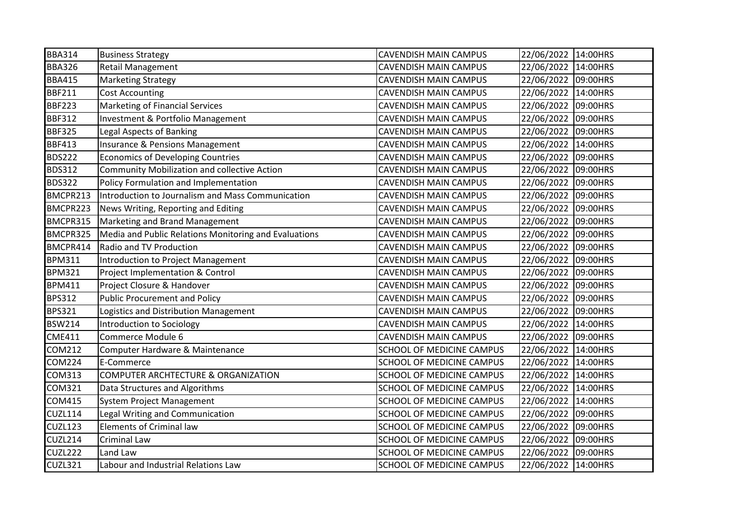| <b>BBA314</b>  | <b>Business Strategy</b>                              | <b>CAVENDISH MAIN CAMPUS</b>     | 22/06/2022 14:00HRS |          |
|----------------|-------------------------------------------------------|----------------------------------|---------------------|----------|
| <b>BBA326</b>  | <b>Retail Management</b>                              | <b>CAVENDISH MAIN CAMPUS</b>     | 22/06/2022 14:00HRS |          |
| <b>BBA415</b>  | <b>Marketing Strategy</b>                             | <b>CAVENDISH MAIN CAMPUS</b>     | 22/06/2022 09:00HRS |          |
| <b>BBF211</b>  | <b>Cost Accounting</b>                                | <b>CAVENDISH MAIN CAMPUS</b>     | 22/06/2022 14:00HRS |          |
| <b>BBF223</b>  | Marketing of Financial Services                       | <b>CAVENDISH MAIN CAMPUS</b>     | 22/06/2022          | 09:00HRS |
| <b>BBF312</b>  | Investment & Portfolio Management                     | <b>CAVENDISH MAIN CAMPUS</b>     | 22/06/2022 09:00HRS |          |
| <b>BBF325</b>  | <b>Legal Aspects of Banking</b>                       | <b>CAVENDISH MAIN CAMPUS</b>     | 22/06/2022 09:00HRS |          |
| <b>BBF413</b>  | Insurance & Pensions Management                       | <b>CAVENDISH MAIN CAMPUS</b>     | 22/06/2022 14:00HRS |          |
| <b>BDS222</b>  | <b>Economics of Developing Countries</b>              | <b>CAVENDISH MAIN CAMPUS</b>     | 22/06/2022 09:00HRS |          |
| <b>BDS312</b>  | <b>Community Mobilization and collective Action</b>   | <b>CAVENDISH MAIN CAMPUS</b>     | 22/06/2022 09:00HRS |          |
| <b>BDS322</b>  | Policy Formulation and Implementation                 | <b>CAVENDISH MAIN CAMPUS</b>     | 22/06/2022 09:00HRS |          |
| BMCPR213       | Introduction to Journalism and Mass Communication     | CAVENDISH MAIN CAMPUS            | 22/06/2022 09:00HRS |          |
| BMCPR223       | News Writing, Reporting and Editing                   | <b>CAVENDISH MAIN CAMPUS</b>     | 22/06/2022 09:00HRS |          |
| BMCPR315       | Marketing and Brand Management                        | <b>CAVENDISH MAIN CAMPUS</b>     | 22/06/2022 09:00HRS |          |
| BMCPR325       | Media and Public Relations Monitoring and Evaluations | <b>CAVENDISH MAIN CAMPUS</b>     | 22/06/2022 09:00HRS |          |
| BMCPR414       | Radio and TV Production                               | CAVENDISH MAIN CAMPUS            | 22/06/2022 09:00HRS |          |
| <b>BPM311</b>  | Introduction to Project Management                    | <b>CAVENDISH MAIN CAMPUS</b>     | 22/06/2022 09:00HRS |          |
| <b>BPM321</b>  | Project Implementation & Control                      | <b>CAVENDISH MAIN CAMPUS</b>     | 22/06/2022 09:00HRS |          |
| <b>BPM411</b>  | Project Closure & Handover                            | <b>CAVENDISH MAIN CAMPUS</b>     | 22/06/2022 09:00HRS |          |
| <b>BPS312</b>  | <b>Public Procurement and Policy</b>                  | <b>CAVENDISH MAIN CAMPUS</b>     | 22/06/2022 09:00HRS |          |
| <b>BPS321</b>  | Logistics and Distribution Management                 | <b>CAVENDISH MAIN CAMPUS</b>     | 22/06/2022 09:00HRS |          |
| <b>BSW214</b>  | Introduction to Sociology                             | <b>CAVENDISH MAIN CAMPUS</b>     | 22/06/2022 14:00HRS |          |
| <b>CME411</b>  | Commerce Module 6                                     | <b>CAVENDISH MAIN CAMPUS</b>     | 22/06/2022 09:00HRS |          |
| <b>COM212</b>  | Computer Hardware & Maintenance                       | SCHOOL OF MEDICINE CAMPUS        | 22/06/2022 14:00HRS |          |
| <b>COM224</b>  | E-Commerce                                            | SCHOOL OF MEDICINE CAMPUS        | 22/06/2022          | 14:00HRS |
| <b>COM313</b>  | COMPUTER ARCHTECTURE & ORGANIZATION                   | SCHOOL OF MEDICINE CAMPUS        | 22/06/2022          | 14:00HRS |
| <b>COM321</b>  | Data Structures and Algorithms                        | SCHOOL OF MEDICINE CAMPUS        | 22/06/2022          | 14:00HRS |
| <b>COM415</b>  | <b>System Project Management</b>                      | SCHOOL OF MEDICINE CAMPUS        | 22/06/2022          | 14:00HRS |
| <b>CUZL114</b> | Legal Writing and Communication                       | SCHOOL OF MEDICINE CAMPUS        | 22/06/2022          | 09:00HRS |
| CUZL123        | <b>Elements of Criminal law</b>                       | SCHOOL OF MEDICINE CAMPUS        | 22/06/2022 09:00HRS |          |
| CUZL214        | Criminal Law                                          | SCHOOL OF MEDICINE CAMPUS        | 22/06/2022          | 09:00HRS |
| CUZL222        | Land Law                                              | SCHOOL OF MEDICINE CAMPUS        | 22/06/2022 09:00HRS |          |
| CUZL321        | Labour and Industrial Relations Law                   | <b>SCHOOL OF MEDICINE CAMPUS</b> | 22/06/2022 14:00HRS |          |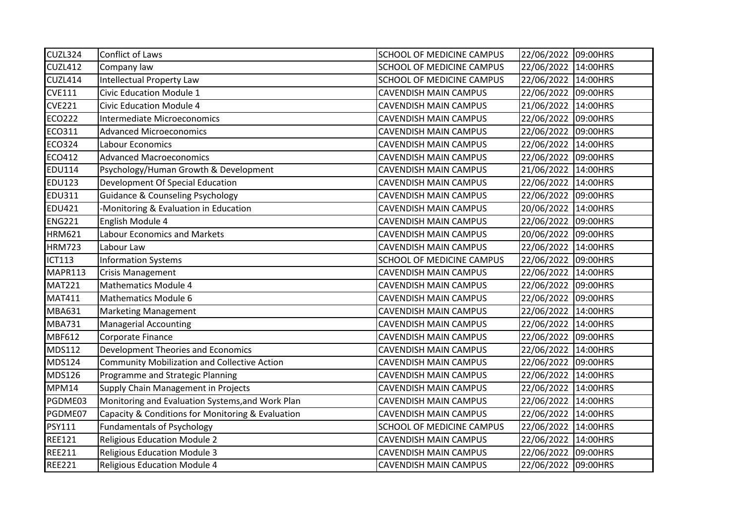| CUZL324        | Conflict of Laws                                    | <b>SCHOOL OF MEDICINE CAMPUS</b> | 22/06/2022 09:00HRS |          |
|----------------|-----------------------------------------------------|----------------------------------|---------------------|----------|
| <b>CUZL412</b> | Company law                                         | SCHOOL OF MEDICINE CAMPUS        | 22/06/2022 14:00HRS |          |
| CUZL414        | <b>Intellectual Property Law</b>                    | SCHOOL OF MEDICINE CAMPUS        | 22/06/2022 14:00HRS |          |
| <b>CVE111</b>  | Civic Education Module 1                            | <b>CAVENDISH MAIN CAMPUS</b>     | 22/06/2022 09:00HRS |          |
| <b>CVE221</b>  | <b>Civic Education Module 4</b>                     | <b>CAVENDISH MAIN CAMPUS</b>     | 21/06/2022          | 14:00HRS |
| <b>ECO222</b>  | Intermediate Microeconomics                         | <b>CAVENDISH MAIN CAMPUS</b>     | 22/06/2022 09:00HRS |          |
| <b>ECO311</b>  | <b>Advanced Microeconomics</b>                      | <b>CAVENDISH MAIN CAMPUS</b>     | 22/06/2022 09:00HRS |          |
| <b>ECO324</b>  | Labour Economics                                    | <b>CAVENDISH MAIN CAMPUS</b>     | 22/06/2022 14:00HRS |          |
| <b>ECO412</b>  | <b>Advanced Macroeconomics</b>                      | <b>CAVENDISH MAIN CAMPUS</b>     | 22/06/2022 09:00HRS |          |
| <b>EDU114</b>  | Psychology/Human Growth & Development               | <b>CAVENDISH MAIN CAMPUS</b>     | 21/06/2022 14:00HRS |          |
| <b>EDU123</b>  | Development Of Special Education                    | <b>CAVENDISH MAIN CAMPUS</b>     | 22/06/2022 14:00HRS |          |
| <b>EDU311</b>  | <b>Guidance &amp; Counseling Psychology</b>         | CAVENDISH MAIN CAMPUS            | 22/06/2022 09:00HRS |          |
| <b>EDU421</b>  | -Monitoring & Evaluation in Education               | <b>CAVENDISH MAIN CAMPUS</b>     | 20/06/2022 14:00HRS |          |
| <b>ENG221</b>  | English Module 4                                    | <b>CAVENDISH MAIN CAMPUS</b>     | 22/06/2022 09:00HRS |          |
| <b>HRM621</b>  | <b>Labour Economics and Markets</b>                 | <b>CAVENDISH MAIN CAMPUS</b>     | 20/06/2022 09:00HRS |          |
| <b>HRM723</b>  | Labour Law                                          | <b>CAVENDISH MAIN CAMPUS</b>     | 22/06/2022 14:00HRS |          |
| <b>ICT113</b>  | <b>Information Systems</b>                          | SCHOOL OF MEDICINE CAMPUS        | 22/06/2022 09:00HRS |          |
| MAPR113        | <b>Crisis Management</b>                            | <b>CAVENDISH MAIN CAMPUS</b>     | 22/06/2022 14:00HRS |          |
| <b>MAT221</b>  | Mathematics Module 4                                | <b>CAVENDISH MAIN CAMPUS</b>     | 22/06/2022 09:00HRS |          |
| <b>MAT411</b>  | Mathematics Module 6                                | <b>CAVENDISH MAIN CAMPUS</b>     | 22/06/2022 09:00HRS |          |
| <b>MBA631</b>  | <b>Marketing Management</b>                         | <b>CAVENDISH MAIN CAMPUS</b>     | 22/06/2022 14:00HRS |          |
| <b>MBA731</b>  | <b>Managerial Accounting</b>                        | <b>CAVENDISH MAIN CAMPUS</b>     | 22/06/2022 14:00HRS |          |
| MBF612         | Corporate Finance                                   | <b>CAVENDISH MAIN CAMPUS</b>     | 22/06/2022 09:00HRS |          |
| <b>MDS112</b>  | Development Theories and Economics                  | <b>CAVENDISH MAIN CAMPUS</b>     | 22/06/2022 14:00HRS |          |
| <b>MDS124</b>  | <b>Community Mobilization and Collective Action</b> | <b>CAVENDISH MAIN CAMPUS</b>     | 22/06/2022 09:00HRS |          |
| <b>MDS126</b>  | Programme and Strategic Planning                    | <b>CAVENDISH MAIN CAMPUS</b>     | 22/06/2022          | 14:00HRS |
| MPM14          | Supply Chain Management in Projects                 | CAVENDISH MAIN CAMPUS            | 22/06/2022          | 14:00HRS |
| PGDME03        | Monitoring and Evaluation Systems, and Work Plan    | <b>CAVENDISH MAIN CAMPUS</b>     | 22/06/2022 14:00HRS |          |
| PGDME07        | Capacity & Conditions for Monitoring & Evaluation   | <b>CAVENDISH MAIN CAMPUS</b>     | 22/06/2022          | 14:00HRS |
| <b>PSY111</b>  | <b>Fundamentals of Psychology</b>                   | SCHOOL OF MEDICINE CAMPUS        | 22/06/2022 14:00HRS |          |
| <b>REE121</b>  | <b>Religious Education Module 2</b>                 | <b>CAVENDISH MAIN CAMPUS</b>     | 22/06/2022 14:00HRS |          |
| <b>REE211</b>  | <b>Religious Education Module 3</b>                 | <b>CAVENDISH MAIN CAMPUS</b>     | 22/06/2022 09:00HRS |          |
| <b>REE221</b>  | <b>Religious Education Module 4</b>                 | <b>CAVENDISH MAIN CAMPUS</b>     | 22/06/2022 09:00HRS |          |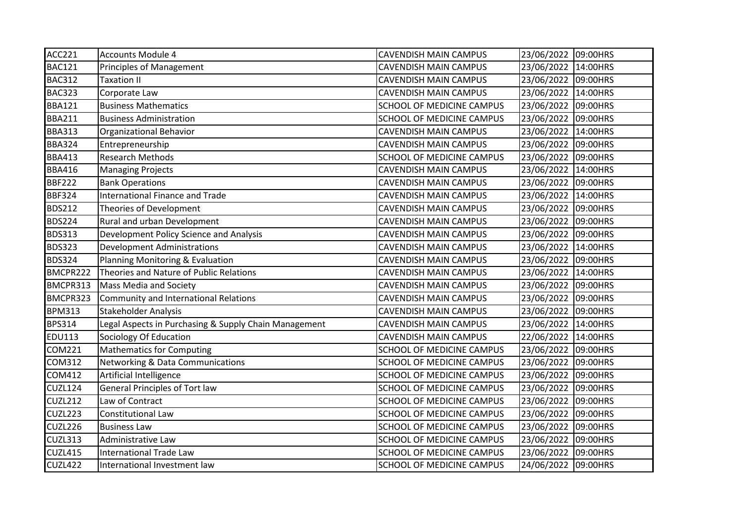| <b>ACC221</b>  | <b>Accounts Module 4</b>                              | <b>CAVENDISH MAIN CAMPUS</b> | 23/06/2022 09:00HRS |          |
|----------------|-------------------------------------------------------|------------------------------|---------------------|----------|
| <b>BAC121</b>  | <b>Principles of Management</b>                       | CAVENDISH MAIN CAMPUS        | 23/06/2022 14:00HRS |          |
| <b>BAC312</b>  | <b>Taxation II</b>                                    | <b>CAVENDISH MAIN CAMPUS</b> | 23/06/2022 09:00HRS |          |
| <b>BAC323</b>  | Corporate Law                                         | CAVENDISH MAIN CAMPUS        | 23/06/2022 14:00HRS |          |
| <b>BBA121</b>  | <b>Business Mathematics</b>                           | SCHOOL OF MEDICINE CAMPUS    | 23/06/2022          | 09:00HRS |
| <b>BBA211</b>  | <b>Business Administration</b>                        | SCHOOL OF MEDICINE CAMPUS    | 23/06/2022 09:00HRS |          |
| <b>BBA313</b>  | Organizational Behavior                               | <b>CAVENDISH MAIN CAMPUS</b> | 23/06/2022 14:00HRS |          |
| <b>BBA324</b>  | Entrepreneurship                                      | CAVENDISH MAIN CAMPUS        | 23/06/2022 09:00HRS |          |
| <b>BBA413</b>  | <b>Research Methods</b>                               | SCHOOL OF MEDICINE CAMPUS    | 23/06/2022 09:00HRS |          |
| <b>BBA416</b>  | <b>Managing Projects</b>                              | <b>CAVENDISH MAIN CAMPUS</b> | 23/06/2022 14:00HRS |          |
| <b>BBF222</b>  | <b>Bank Operations</b>                                | <b>CAVENDISH MAIN CAMPUS</b> | 23/06/2022 09:00HRS |          |
| <b>BBF324</b>  | <b>International Finance and Trade</b>                | CAVENDISH MAIN CAMPUS        | 23/06/2022          | 14:00HRS |
| <b>BDS212</b>  | Theories of Development                               | CAVENDISH MAIN CAMPUS        | 23/06/2022 09:00HRS |          |
| <b>BDS224</b>  | Rural and urban Development                           | CAVENDISH MAIN CAMPUS        | 23/06/2022          | 09:00HRS |
| <b>BDS313</b>  | Development Policy Science and Analysis               | CAVENDISH MAIN CAMPUS        | 23/06/2022 09:00HRS |          |
| <b>BDS323</b>  | <b>Development Administrations</b>                    | CAVENDISH MAIN CAMPUS        | 23/06/2022 14:00HRS |          |
| <b>BDS324</b>  | Planning Monitoring & Evaluation                      | CAVENDISH MAIN CAMPUS        | 23/06/2022 09:00HRS |          |
| BMCPR222       | Theories and Nature of Public Relations               | <b>CAVENDISH MAIN CAMPUS</b> | 23/06/2022 14:00HRS |          |
| BMCPR313       | Mass Media and Society                                | CAVENDISH MAIN CAMPUS        | 23/06/2022 09:00HRS |          |
| BMCPR323       | Community and International Relations                 | CAVENDISH MAIN CAMPUS        | 23/06/2022 09:00HRS |          |
| <b>BPM313</b>  | Stakeholder Analysis                                  | CAVENDISH MAIN CAMPUS        | 23/06/2022 09:00HRS |          |
| <b>BPS314</b>  | Legal Aspects in Purchasing & Supply Chain Management | <b>CAVENDISH MAIN CAMPUS</b> | 23/06/2022 14:00HRS |          |
| <b>EDU113</b>  | Sociology Of Education                                | CAVENDISH MAIN CAMPUS        | 22/06/2022 14:00HRS |          |
| <b>COM221</b>  | <b>Mathematics for Computing</b>                      | SCHOOL OF MEDICINE CAMPUS    | 23/06/2022 09:00HRS |          |
| <b>COM312</b>  | Networking & Data Communications                      | SCHOOL OF MEDICINE CAMPUS    | 23/06/2022 09:00HRS |          |
| <b>COM412</b>  | Artificial Intelligence                               | SCHOOL OF MEDICINE CAMPUS    | 23/06/2022          | 09:00HRS |
| <b>CUZL124</b> | <b>General Principles of Tort law</b>                 | SCHOOL OF MEDICINE CAMPUS    | 23/06/2022          | 09:00HRS |
| CUZL212        | Law of Contract                                       | SCHOOL OF MEDICINE CAMPUS    | 23/06/2022          | 09:00HRS |
| CUZL223        | <b>Constitutional Law</b>                             | SCHOOL OF MEDICINE CAMPUS    | 23/06/2022          | 09:00HRS |
| CUZL226        | <b>Business Law</b>                                   | SCHOOL OF MEDICINE CAMPUS    | 23/06/2022 09:00HRS |          |
| CUZL313        | Administrative Law                                    | SCHOOL OF MEDICINE CAMPUS    | 23/06/2022          | 09:00HRS |
| CUZL415        | <b>International Trade Law</b>                        | SCHOOL OF MEDICINE CAMPUS    | 23/06/2022 09:00HRS |          |
| CUZL422        | International Investment law                          | SCHOOL OF MEDICINE CAMPUS    | 24/06/2022 09:00HRS |          |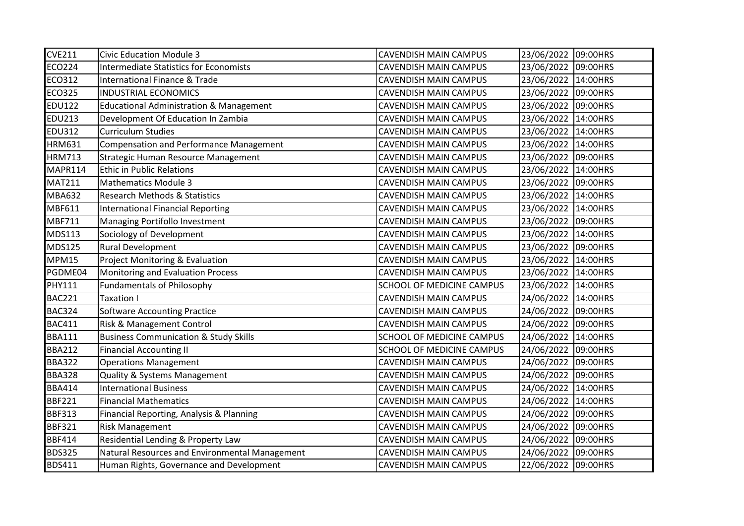| <b>CVE211</b> | <b>Civic Education Module 3</b>                    | <b>CAVENDISH MAIN CAMPUS</b> | 23/06/2022 09:00HRS |          |
|---------------|----------------------------------------------------|------------------------------|---------------------|----------|
| <b>ECO224</b> | <b>Intermediate Statistics for Economists</b>      | <b>CAVENDISH MAIN CAMPUS</b> | 23/06/2022 09:00HRS |          |
| <b>ECO312</b> | <b>International Finance &amp; Trade</b>           | <b>CAVENDISH MAIN CAMPUS</b> | 23/06/2022 14:00HRS |          |
| <b>ECO325</b> | <b>INDUSTRIAL ECONOMICS</b>                        | <b>CAVENDISH MAIN CAMPUS</b> | 23/06/2022 09:00HRS |          |
| <b>EDU122</b> | <b>Educational Administration &amp; Management</b> | <b>CAVENDISH MAIN CAMPUS</b> | 23/06/2022 09:00HRS |          |
| <b>EDU213</b> | Development Of Education In Zambia                 | <b>CAVENDISH MAIN CAMPUS</b> | 23/06/2022 14:00HRS |          |
| <b>EDU312</b> | <b>Curriculum Studies</b>                          | <b>CAVENDISH MAIN CAMPUS</b> | 23/06/2022          | 14:00HRS |
| <b>HRM631</b> | <b>Compensation and Performance Management</b>     | <b>CAVENDISH MAIN CAMPUS</b> | 23/06/2022 14:00HRS |          |
| <b>HRM713</b> | Strategic Human Resource Management                | <b>CAVENDISH MAIN CAMPUS</b> | 23/06/2022 09:00HRS |          |
| MAPR114       | <b>Ethic in Public Relations</b>                   | <b>CAVENDISH MAIN CAMPUS</b> | 23/06/2022 14:00HRS |          |
| <b>MAT211</b> | <b>Mathematics Module 3</b>                        | <b>CAVENDISH MAIN CAMPUS</b> | 23/06/2022 09:00HRS |          |
| <b>MBA632</b> | <b>Research Methods &amp; Statistics</b>           | <b>CAVENDISH MAIN CAMPUS</b> | 23/06/2022 14:00HRS |          |
| MBF611        | <b>International Financial Reporting</b>           | <b>CAVENDISH MAIN CAMPUS</b> | 23/06/2022 14:00HRS |          |
| MBF711        | Managing Portifollo Investment                     | <b>CAVENDISH MAIN CAMPUS</b> | 23/06/2022 09:00HRS |          |
| <b>MDS113</b> | Sociology of Development                           | <b>CAVENDISH MAIN CAMPUS</b> | 23/06/2022 14:00HRS |          |
| <b>MDS125</b> | Rural Development                                  | CAVENDISH MAIN CAMPUS        | 23/06/2022 09:00HRS |          |
| MPM15         | Project Monitoring & Evaluation                    | CAVENDISH MAIN CAMPUS        | 23/06/2022 14:00HRS |          |
| PGDME04       | Monitoring and Evaluation Process                  | <b>CAVENDISH MAIN CAMPUS</b> | 23/06/2022 14:00HRS |          |
| <b>PHY111</b> | <b>Fundamentals of Philosophy</b>                  | SCHOOL OF MEDICINE CAMPUS    | 23/06/2022 14:00HRS |          |
| <b>BAC221</b> | Taxation I                                         | <b>CAVENDISH MAIN CAMPUS</b> | 24/06/2022          | 14:00HRS |
| <b>BAC324</b> | Software Accounting Practice                       | <b>CAVENDISH MAIN CAMPUS</b> | 24/06/2022 09:00HRS |          |
| <b>BAC411</b> | Risk & Management Control                          | <b>CAVENDISH MAIN CAMPUS</b> | 24/06/2022 09:00HRS |          |
| <b>BBA111</b> | <b>Business Communication &amp; Study Skills</b>   | SCHOOL OF MEDICINE CAMPUS    | 24/06/2022 14:00HRS |          |
| <b>BBA212</b> | <b>Financial Accounting II</b>                     | SCHOOL OF MEDICINE CAMPUS    | 24/06/2022 09:00HRS |          |
| <b>BBA322</b> | <b>Operations Management</b>                       | <b>CAVENDISH MAIN CAMPUS</b> | 24/06/2022 09:00HRS |          |
| <b>BBA328</b> | Quality & Systems Management                       | <b>CAVENDISH MAIN CAMPUS</b> | 24/06/2022 09:00HRS |          |
| <b>BBA414</b> | <b>International Business</b>                      | <b>CAVENDISH MAIN CAMPUS</b> | 24/06/2022          | 14:00HRS |
| <b>BBF221</b> | <b>Financial Mathematics</b>                       | CAVENDISH MAIN CAMPUS        | 24/06/2022          | 14:00HRS |
| <b>BBF313</b> | Financial Reporting, Analysis & Planning           | <b>CAVENDISH MAIN CAMPUS</b> | 24/06/2022          | 09:00HRS |
| <b>BBF321</b> | <b>Risk Management</b>                             | <b>CAVENDISH MAIN CAMPUS</b> | 24/06/2022 09:00HRS |          |
| <b>BBF414</b> | Residential Lending & Property Law                 | CAVENDISH MAIN CAMPUS        | 24/06/2022 09:00HRS |          |
| <b>BDS325</b> | Natural Resources and Environmental Management     | <b>CAVENDISH MAIN CAMPUS</b> | 24/06/2022 09:00HRS |          |
| <b>BDS411</b> | Human Rights, Governance and Development           | <b>CAVENDISH MAIN CAMPUS</b> | 22/06/2022 09:00HRS |          |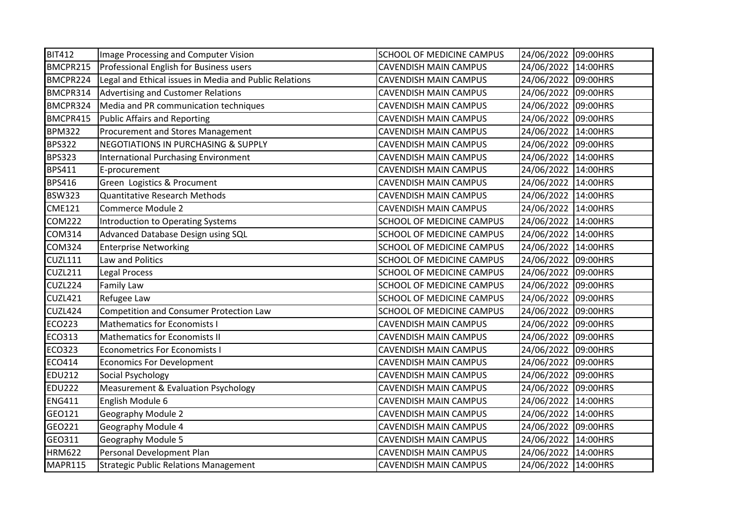| <b>BIT412</b>  | Image Processing and Computer Vision                   | <b>SCHOOL OF MEDICINE CAMPUS</b> | 24/06/2022 09:00HRS |          |
|----------------|--------------------------------------------------------|----------------------------------|---------------------|----------|
| BMCPR215       | Professional English for Business users                | <b>CAVENDISH MAIN CAMPUS</b>     | 24/06/2022 14:00HRS |          |
| BMCPR224       | Legal and Ethical issues in Media and Public Relations | <b>CAVENDISH MAIN CAMPUS</b>     | 24/06/2022 09:00HRS |          |
| BMCPR314       | <b>Advertising and Customer Relations</b>              | <b>CAVENDISH MAIN CAMPUS</b>     | 24/06/2022 09:00HRS |          |
| BMCPR324       | Media and PR communication techniques                  | <b>CAVENDISH MAIN CAMPUS</b>     | 24/06/2022 09:00HRS |          |
| BMCPR415       | <b>Public Affairs and Reporting</b>                    | <b>CAVENDISH MAIN CAMPUS</b>     | 24/06/2022 09:00HRS |          |
| <b>BPM322</b>  | Procurement and Stores Management                      | <b>CAVENDISH MAIN CAMPUS</b>     | 24/06/2022 14:00HRS |          |
| <b>BPS322</b>  | <b>NEGOTIATIONS IN PURCHASING &amp; SUPPLY</b>         | <b>CAVENDISH MAIN CAMPUS</b>     | 24/06/2022 09:00HRS |          |
| <b>BPS323</b>  | <b>International Purchasing Environment</b>            | <b>CAVENDISH MAIN CAMPUS</b>     | 24/06/2022 14:00HRS |          |
| <b>BPS411</b>  | E-procurement                                          | <b>CAVENDISH MAIN CAMPUS</b>     | 24/06/2022 14:00HRS |          |
| <b>BPS416</b>  | Green Logistics & Procument                            | <b>CAVENDISH MAIN CAMPUS</b>     | 24/06/2022          | 14:00HRS |
| <b>BSW323</b>  | <b>Quantitative Research Methods</b>                   | CAVENDISH MAIN CAMPUS            | 24/06/2022          | 14:00HRS |
| <b>CME121</b>  | Commerce Module 2                                      | <b>CAVENDISH MAIN CAMPUS</b>     | 24/06/2022 14:00HRS |          |
| <b>COM222</b>  | <b>Introduction to Operating Systems</b>               | SCHOOL OF MEDICINE CAMPUS        | 24/06/2022          | 14:00HRS |
| <b>COM314</b>  | Advanced Database Design using SQL                     | <b>SCHOOL OF MEDICINE CAMPUS</b> | 24/06/2022 14:00HRS |          |
| <b>COM324</b>  | <b>Enterprise Networking</b>                           | SCHOOL OF MEDICINE CAMPUS        | 24/06/2022          | 14:00HRS |
| <b>CUZL111</b> | Law and Politics                                       | SCHOOL OF MEDICINE CAMPUS        | 24/06/2022 09:00HRS |          |
| <b>CUZL211</b> | Legal Process                                          | SCHOOL OF MEDICINE CAMPUS        | 24/06/2022          | 09:00HRS |
| CUZL224        | Family Law                                             | SCHOOL OF MEDICINE CAMPUS        | 24/06/2022 09:00HRS |          |
| <b>CUZL421</b> | Refugee Law                                            | SCHOOL OF MEDICINE CAMPUS        | 24/06/2022          | 09:00HRS |
| CUZL424        | <b>Competition and Consumer Protection Law</b>         | SCHOOL OF MEDICINE CAMPUS        | 24/06/2022          | 09:00HRS |
| <b>ECO223</b>  | <b>Mathematics for Economists I</b>                    | <b>CAVENDISH MAIN CAMPUS</b>     | 24/06/2022 09:00HRS |          |
| <b>ECO313</b>  | <b>Mathematics for Economists II</b>                   | <b>CAVENDISH MAIN CAMPUS</b>     | 24/06/2022 09:00HRS |          |
| <b>ECO323</b>  | <b>Econometrics For Economists I</b>                   | <b>CAVENDISH MAIN CAMPUS</b>     | 24/06/2022 09:00HRS |          |
| <b>ECO414</b>  | <b>Economics For Development</b>                       | <b>CAVENDISH MAIN CAMPUS</b>     | 24/06/2022 09:00HRS |          |
| <b>EDU212</b>  | Social Psychology                                      | <b>CAVENDISH MAIN CAMPUS</b>     | 24/06/2022 09:00HRS |          |
| <b>EDU222</b>  | Measurement & Evaluation Psychology                    | CAVENDISH MAIN CAMPUS            | 24/06/2022 09:00HRS |          |
| <b>ENG411</b>  | English Module 6                                       | <b>CAVENDISH MAIN CAMPUS</b>     | 24/06/2022          | 14:00HRS |
| GEO121         | Geography Module 2                                     | <b>CAVENDISH MAIN CAMPUS</b>     | 24/06/2022          | 14:00HRS |
| GEO221         | Geography Module 4                                     | <b>CAVENDISH MAIN CAMPUS</b>     | 24/06/2022 09:00HRS |          |
| GE0311         | Geography Module 5                                     | CAVENDISH MAIN CAMPUS            | 24/06/2022          | 14:00HRS |
| <b>HRM622</b>  | Personal Development Plan                              | <b>CAVENDISH MAIN CAMPUS</b>     | 24/06/2022 14:00HRS |          |
| MAPR115        | <b>Strategic Public Relations Management</b>           | <b>CAVENDISH MAIN CAMPUS</b>     | 24/06/2022 14:00HRS |          |